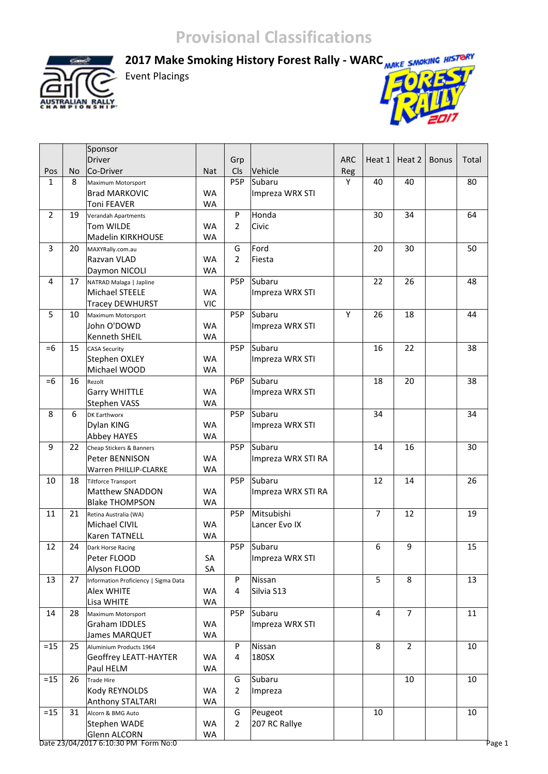**RAI** 

2017 Make Smoking History Forest Rally - WARC MAKE SMOKING HISTORY

Event Placings



|                |    | Sponsor                              |            |                  |                    |            |                |                |              |       |
|----------------|----|--------------------------------------|------------|------------------|--------------------|------------|----------------|----------------|--------------|-------|
|                |    | <b>Driver</b>                        |            | Grp              |                    | <b>ARC</b> | Heat 1         | Heat 2         | <b>Bonus</b> | Total |
| Pos            | No | Co-Driver                            | <b>Nat</b> | Cls              | Vehicle            | Reg        |                |                |              |       |
| $\mathbf{1}$   | 8  | Maximum Motorsport                   |            | P <sub>5</sub> P | Subaru             | Y          | 40             | 40             |              | 80    |
|                |    | <b>Brad MARKOVIC</b>                 | <b>WA</b>  |                  | Impreza WRX STI    |            |                |                |              |       |
|                |    | <b>Toni FEAVER</b>                   | <b>WA</b>  |                  |                    |            |                |                |              |       |
| $\overline{2}$ | 19 | Verandah Apartments                  |            | P                | Honda              |            | 30             | 34             |              | 64    |
|                |    | Tom WILDE                            | <b>WA</b>  | $\overline{2}$   | Civic              |            |                |                |              |       |
|                |    | Madelin KIRKHOUSE                    | <b>WA</b>  |                  |                    |            |                |                |              |       |
| $\overline{3}$ | 20 | MAXYRally.com.au                     |            | G                | Ford               |            | 20             | 30             |              | 50    |
|                |    | Razvan VLAD                          | <b>WA</b>  | $\overline{2}$   | Fiesta             |            |                |                |              |       |
|                |    | Daymon NICOLI                        | <b>WA</b>  |                  |                    |            |                |                |              |       |
| $\overline{4}$ | 17 | NATRAD Malaga   Japline              |            | P5P              | Subaru             |            | 22             | 26             |              | 48    |
|                |    | Michael STEELE                       | <b>WA</b>  |                  | Impreza WRX STI    |            |                |                |              |       |
|                |    | <b>Tracey DEWHURST</b>               | <b>VIC</b> |                  |                    |            |                |                |              |       |
| 5              | 10 | Maximum Motorsport                   |            | P5P              | Subaru             | Y          | 26             | 18             |              | 44    |
|                |    | John O'DOWD                          | <b>WA</b>  |                  | Impreza WRX STI    |            |                |                |              |       |
|                |    | Kenneth SHEIL                        | <b>WA</b>  |                  |                    |            |                |                |              |       |
| $=6$           | 15 | <b>CASA Security</b>                 |            | P5P              | Subaru             |            | 16             | 22             |              | 38    |
|                |    | Stephen OXLEY                        | <b>WA</b>  |                  | Impreza WRX STI    |            |                |                |              |       |
|                |    | Michael WOOD                         | <b>WA</b>  |                  |                    |            |                |                |              |       |
| $=6$           | 16 | Rezolt                               |            | P6P              | Subaru             |            | 18             | 20             |              | 38    |
|                |    | <b>Garry WHITTLE</b>                 | <b>WA</b>  |                  | Impreza WRX STI    |            |                |                |              |       |
|                |    | <b>Stephen VASS</b>                  | <b>WA</b>  |                  |                    |            |                |                |              |       |
| 8              | 6  | <b>DK Earthworx</b>                  |            | P5P              | Subaru             |            | 34             |                |              | 34    |
|                |    | Dylan KING                           | <b>WA</b>  |                  | Impreza WRX STI    |            |                |                |              |       |
|                |    | <b>Abbey HAYES</b>                   | <b>WA</b>  |                  |                    |            |                |                |              |       |
| 9              | 22 | Cheap Stickers & Banners             |            | P5P              | Subaru             |            | 14             | 16             |              | 30    |
|                |    | Peter BENNISON                       | <b>WA</b>  |                  | Impreza WRX STI RA |            |                |                |              |       |
|                |    | Warren PHILLIP-CLARKE                | <b>WA</b>  |                  |                    |            |                |                |              |       |
| 10             | 18 | <b>Tiltforce Transport</b>           |            | P5P              | Subaru             |            | 12             | 14             |              | 26    |
|                |    | Matthew SNADDON                      | <b>WA</b>  |                  | Impreza WRX STI RA |            |                |                |              |       |
|                |    | <b>Blake THOMPSON</b>                | <b>WA</b>  |                  |                    |            |                |                |              |       |
| 11             | 21 | Retina Australia (WA)                |            | P <sub>5</sub> P | Mitsubishi         |            | $\overline{7}$ | 12             |              | 19    |
|                |    | Michael CIVIL                        | <b>WA</b>  |                  | Lancer Evo IX      |            |                |                |              |       |
|                |    | Karen TATNELL                        | <b>WA</b>  |                  |                    |            |                |                |              |       |
| 12             | 24 | Dark Horse Racing                    |            | P <sub>5</sub> P | Subaru             |            | 6              | 9              |              | 15    |
|                |    | Peter FLOOD                          | SА         |                  | Impreza WRX STI    |            |                |                |              |       |
|                |    | Alyson FLOOD                         | SA         |                  |                    |            |                |                |              |       |
| 13             | 27 | Information Proficiency   Sigma Data |            | P                | Nissan             |            | 5              | 8              |              | 13    |
|                |    | Alex WHITE                           | <b>WA</b>  | 4                | Silvia S13         |            |                |                |              |       |
|                |    | Lisa WHITE                           | <b>WA</b>  |                  |                    |            |                |                |              |       |
| 14             | 28 | Maximum Motorsport                   |            | P5P              | Subaru             |            | 4              | $\overline{7}$ |              | 11    |
|                |    | Graham IDDLES                        | <b>WA</b>  |                  | Impreza WRX STI    |            |                |                |              |       |
|                |    | James MARQUET                        | <b>WA</b>  |                  |                    |            |                |                |              |       |
| $=15$          | 25 | Aluminium Products 1964              |            | P                | Nissan             |            | 8              | $\overline{2}$ |              | 10    |
|                |    | <b>Geoffrey LEATT-HAYTER</b>         | <b>WA</b>  | 4                | 180SX              |            |                |                |              |       |
|                |    | Paul HELM                            | <b>WA</b>  |                  |                    |            |                |                |              |       |
| $= 15$         | 26 | Trade Hire                           |            | G                | Subaru             |            |                | 10             |              | 10    |
|                |    | Kody REYNOLDS                        | <b>WA</b>  | $\overline{2}$   | Impreza            |            |                |                |              |       |
|                |    | Anthony STALTARI                     | <b>WA</b>  |                  |                    |            |                |                |              |       |
| $= 15$         | 31 | Alcorn & BMG Auto                    |            | G                | Peugeot            |            | 10             |                |              | 10    |
|                |    | Stephen WADE                         | <b>WA</b>  | $\overline{2}$   | 207 RC Rallye      |            |                |                |              |       |
|                |    | Glenn ALCORN                         | <b>WA</b>  |                  |                    |            |                |                |              |       |